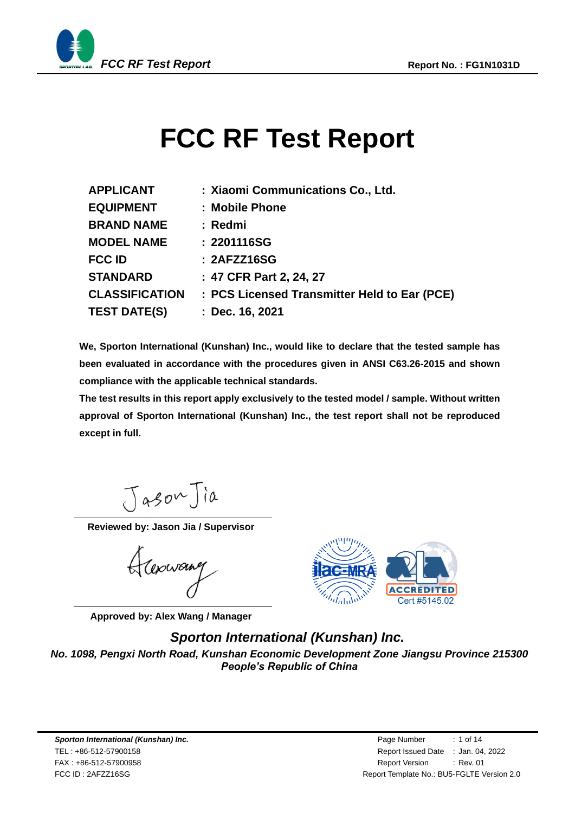

# <span id="page-0-3"></span><span id="page-0-2"></span><span id="page-0-1"></span><span id="page-0-0"></span>**FCC RF Test Report**

| <b>APPLICANT</b>      | : Xiaomi Communications Co., Ltd.            |
|-----------------------|----------------------------------------------|
| <b>EQUIPMENT</b>      | : Mobile Phone                               |
| <b>BRAND NAME</b>     | : Redmi                                      |
| <b>MODEL NAME</b>     | : 2201116SG                                  |
| <b>FCC ID</b>         | : 2AFZZ16SG                                  |
| <b>STANDARD</b>       | : 47 CFR Part 2, 24, 27                      |
| <b>CLASSIFICATION</b> | : PCS Licensed Transmitter Held to Ear (PCE) |
| <b>TEST DATE(S)</b>   | : Dec. 16, 2021                              |

**We, Sporton International (Kunshan) Inc., would like to declare that the tested sample has been evaluated in accordance with the procedures given in ANSI C63.26-2015 and shown compliance with the applicable technical standards.** 

**The test results in this report apply exclusively to the tested model / sample. Without written approval of Sporton International (Kunshan) Inc., the test report shall not be reproduced except in full.**

JasonJia

**Reviewed by: Jason Jia / Supervisor**

Hapwang

**Approved by: Alex Wang / Manager**



## *Sporton International (Kunshan) Inc.*

*No. 1098, Pengxi North Road, Kunshan Economic Development Zone Jiangsu Province 215300 People's Republic of China*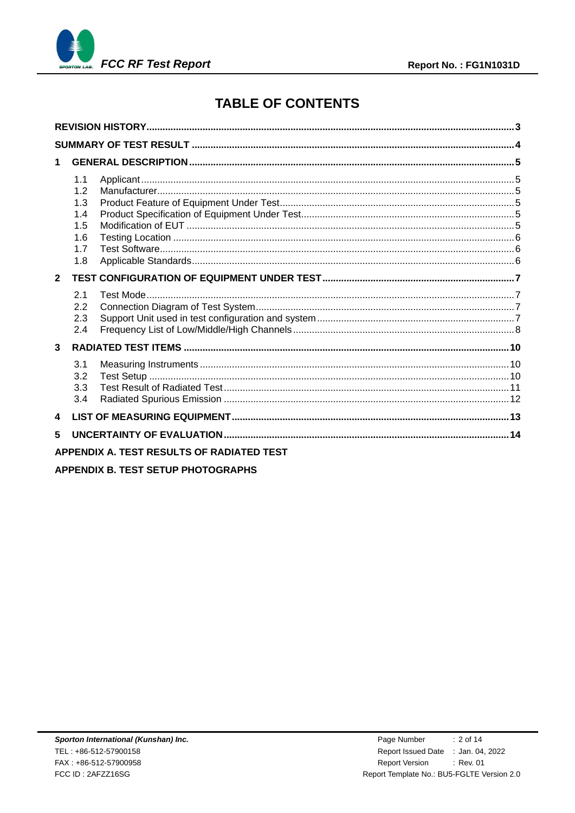



# **TABLE OF CONTENTS**

| 1                                                    |  |
|------------------------------------------------------|--|
| 1.1<br>1.2<br>1.3<br>1.4<br>1.5<br>1.6<br>1.7<br>1.8 |  |
| $\overline{2}$                                       |  |
| 2.1<br>2.2<br>2.3<br>2.4                             |  |
| $\mathbf{3}$                                         |  |
| 3.1<br>3.2<br>3.3<br>3.4                             |  |
| 4                                                    |  |
| 5                                                    |  |
| <b>APPENDIX A. TEST RESULTS OF RADIATED TEST</b>     |  |

**APPENDIX B. TEST SETUP PHOTOGRAPHS**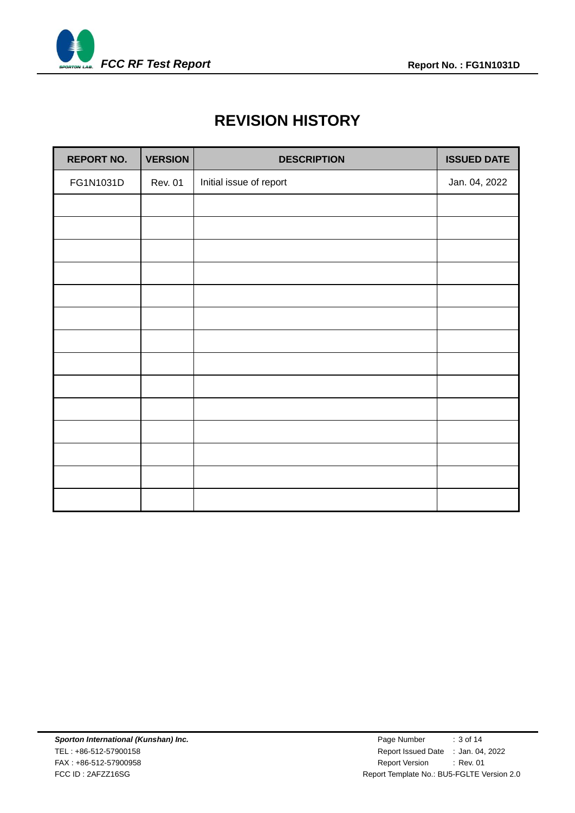<span id="page-2-0"></span>

# **REVISION HISTORY**

| <b>REPORT NO.</b> | <b>VERSION</b> | <b>DESCRIPTION</b>      | <b>ISSUED DATE</b> |
|-------------------|----------------|-------------------------|--------------------|
| FG1N1031D         | <b>Rev. 01</b> | Initial issue of report | Jan. 04, 2022      |
|                   |                |                         |                    |
|                   |                |                         |                    |
|                   |                |                         |                    |
|                   |                |                         |                    |
|                   |                |                         |                    |
|                   |                |                         |                    |
|                   |                |                         |                    |
|                   |                |                         |                    |
|                   |                |                         |                    |
|                   |                |                         |                    |
|                   |                |                         |                    |
|                   |                |                         |                    |
|                   |                |                         |                    |
|                   |                |                         |                    |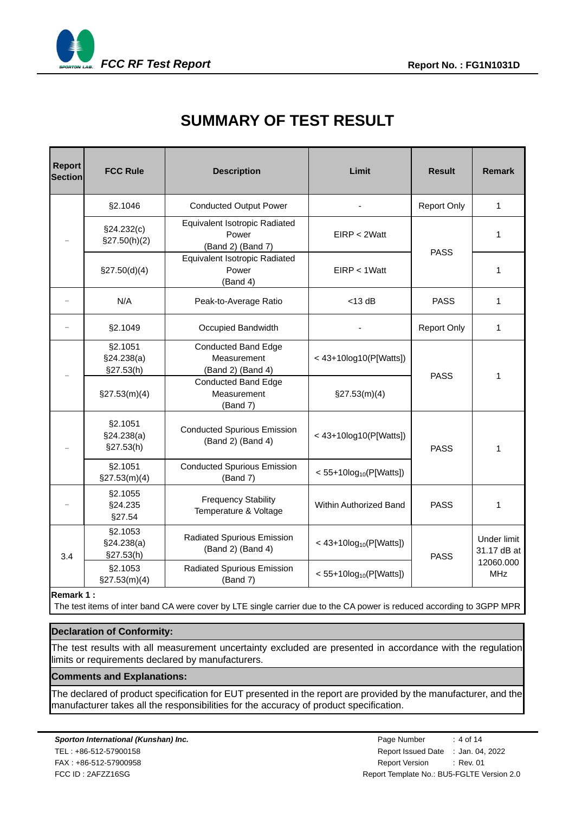<span id="page-3-0"></span>

# **SUMMARY OF TEST RESULT**

| <b>Report</b><br><b>Section</b> | <b>FCC Rule</b>                    | <b>Description</b>                                                                  | Limit                       | <b>Result</b>      | <b>Remark</b>              |  |
|---------------------------------|------------------------------------|-------------------------------------------------------------------------------------|-----------------------------|--------------------|----------------------------|--|
|                                 | §2.1046                            | <b>Conducted Output Power</b>                                                       |                             | <b>Report Only</b> | $\mathbf{1}$               |  |
|                                 | §24.232(c)<br>$\S27.50(h)(2)$      | Equivalent Isotropic Radiated<br>Power<br>(Band 2) (Band 7)                         | EIRP < 2Watt                | <b>PASS</b>        | 1                          |  |
|                                 | \$27.50(d)(4)                      | Equivalent Isotropic Radiated<br>Power<br>(Band 4)                                  | $EIRP < 1W$ att             |                    | 1                          |  |
|                                 | N/A                                | Peak-to-Average Ratio                                                               | $<$ 13 dB                   | <b>PASS</b>        | 1                          |  |
|                                 | §2.1049                            | Occupied Bandwidth                                                                  |                             | <b>Report Only</b> | $\mathbf{1}$               |  |
|                                 | §2.1051<br>§24.238(a)<br>§27.53(h) | <b>Conducted Band Edge</b><br>Measurement<br>(Band 2) (Band 4)                      | < 43+10log10(P[Watts])      | <b>PASS</b>        | 1                          |  |
|                                 | $\S27.53(m)(4)$                    | <b>Conducted Band Edge</b><br>Measurement<br>(Band 7)                               | $\S27.53(m)(4)$             |                    |                            |  |
|                                 | §2.1051<br>§24.238(a)<br>§27.53(h) | <b>Conducted Spurious Emission</b><br>$< 43+10log10(P[Watts])$<br>(Band 2) (Band 4) |                             | <b>PASS</b>        | 1                          |  |
|                                 | §2.1051<br>$\S27.53(m)(4)$         | <b>Conducted Spurious Emission</b><br>(Band 7)                                      |                             |                    |                            |  |
|                                 | §2.1055<br>§24.235<br>§27.54       | <b>Frequency Stability</b><br>Temperature & Voltage                                 | Within Authorized Band      |                    | 1                          |  |
| 3.4                             | §2.1053<br>§24.238(a)<br>§27.53(h) | Radiated Spurious Emission<br>(Band 2) (Band 4)                                     | < $43+10log_{10}(P[Watts])$ | <b>PASS</b>        | Under limit<br>31.17 dB at |  |
|                                 | §2.1053<br>$\S27.53(m)(4)$         | Radiated Spurious Emission<br>$< 55+10log_{10}(P[Watts])$<br>(Band 7)               |                             |                    | 12060.000<br><b>MHz</b>    |  |
|                                 |                                    |                                                                                     |                             |                    |                            |  |

#### **Remark 1 :**

The test items of inter band CA were cover by LTE single carrier due to the CA power is reduced according to 3GPP MPR

#### **Declaration of Conformity:**

The test results with all measurement uncertainty excluded are presented in accordance with the regulation limits or requirements declared by manufacturers.

#### **Comments and Explanations:**

The declared of product specification for EUT presented in the report are provided by the manufacturer, and the manufacturer takes all the responsibilities for the accuracy of product specification.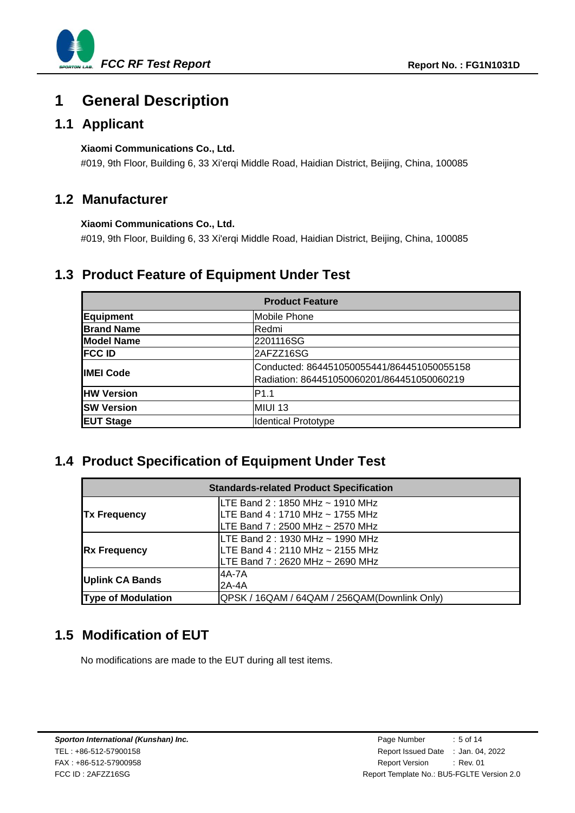

# <span id="page-4-0"></span>**1 General Description**

### <span id="page-4-1"></span>**1.1 Applicant**

#### **[Xiaomi Communications Co., Ltd.](#page-0-0)**

#019, 9th Floor, Building 6, 33 Xi'erqi Middle Road, Haidian District, Beijing, China, 100085

### <span id="page-4-2"></span>**1.2 Manufacturer**

#### **Xiaomi Communications Co., Ltd.**

#019, 9th Floor, Building 6, 33 Xi'erqi Middle Road, Haidian District, Beijing, China, 100085

### <span id="page-4-3"></span>**1.3 Product Feature of Equipment Under Test**

| <b>Product Feature</b> |                                            |  |  |  |
|------------------------|--------------------------------------------|--|--|--|
| <b>Equipment</b>       | Mobile Phone                               |  |  |  |
| <b>Brand Name</b>      | lRedmi                                     |  |  |  |
| <b>Model Name</b>      | 2201116SG                                  |  |  |  |
| <b>FCC ID</b>          | 2AFZZ16SG                                  |  |  |  |
| <b>IIMEI Code</b>      | Conducted: 864451050055441/864451050055158 |  |  |  |
|                        | Radiation: 864451050060201/864451050060219 |  |  |  |
| <b>HW Version</b>      | IP1.1                                      |  |  |  |
| <b>SW Version</b>      | MIUI 13                                    |  |  |  |
| <b>EUT Stage</b>       | <b>Identical Prototype</b>                 |  |  |  |

### <span id="page-4-4"></span>**1.4 Product Specification of Equipment Under Test**

| <b>Standards-related Product Specification</b> |                                                                                                           |  |  |  |
|------------------------------------------------|-----------------------------------------------------------------------------------------------------------|--|--|--|
| <b>Tx Frequency</b>                            | LTE Band 2 : 1850 MHz ~ 1910 MHz<br>LTE Band 4 : 1710 MHz ~ 1755 MHz<br>LTE Band 7 : 2500 MHz ~ 2570 MHz  |  |  |  |
| <b>Rx Frequency</b>                            | ILTE Band 2 : 1930 MHz ~ 1990 MHz<br>LTE Band 4 : 2110 MHz ~ 2155 MHz<br>LTE Band 7 : 2620 MHz ~ 2690 MHz |  |  |  |
| <b>Uplink CA Bands</b>                         | 4A-7A<br>$2A-4A$                                                                                          |  |  |  |
| <b>Type of Modulation</b>                      | QPSK / 16QAM / 64QAM / 256QAM(Downlink Only)                                                              |  |  |  |

## <span id="page-4-5"></span>**1.5 Modification of EUT**

No modifications are made to the EUT during all test items.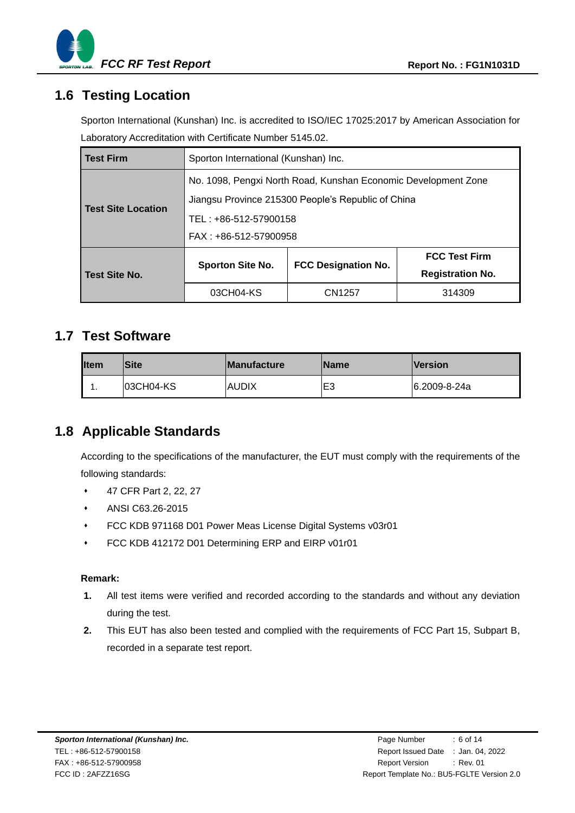

### <span id="page-5-0"></span>**1.6 Testing Location**

Sporton International (Kunshan) Inc. is accredited to ISO/IEC 17025:2017 by American Association for Laboratory Accreditation with Certificate Number 5145.02.

| <b>Test Firm</b>          | Sporton International (Kunshan) Inc.                                                                                 |                            |                                                 |  |  |  |
|---------------------------|----------------------------------------------------------------------------------------------------------------------|----------------------------|-------------------------------------------------|--|--|--|
| <b>Test Site Location</b> | No. 1098, Pengxi North Road, Kunshan Economic Development Zone<br>Jiangsu Province 215300 People's Republic of China |                            |                                                 |  |  |  |
|                           | TEL: +86-512-57900158<br>FAX: +86-512-57900958                                                                       |                            |                                                 |  |  |  |
| Test Site No.             | <b>Sporton Site No.</b>                                                                                              | <b>FCC Designation No.</b> | <b>FCC Test Firm</b><br><b>Registration No.</b> |  |  |  |
|                           | 03CH04-KS                                                                                                            | CN1257                     | 314309                                          |  |  |  |

### <span id="page-5-1"></span>**1.7 Test Software**

| <b>I</b> Item | <b>Site</b> | <b>Manufacture</b> | <b>Name</b> | <b>Version</b> |
|---------------|-------------|--------------------|-------------|----------------|
| . .           | 03CH04-KS   | <b>AUDIX</b>       | lЕ3         | 6.2009-8-24a   |

### <span id="page-5-2"></span>**1.8 Applicable Standards**

According to the specifications of the manufacturer, the EUT must comply with the requirements of the following standards:

- 47 CFR Part 2, 22, 27
- ANSI C63.26-2015
- FCC KDB 971168 D01 Power Meas License Digital Systems v03r01
- FCC KDB 412172 D01 Determining ERP and EIRP v01r01

#### **Remark:**

- **1.** All test items were verified and recorded according to the standards and without any deviation during the test.
- **2.** This EUT has also been tested and complied with the requirements of FCC Part 15, Subpart B, recorded in a separate test report.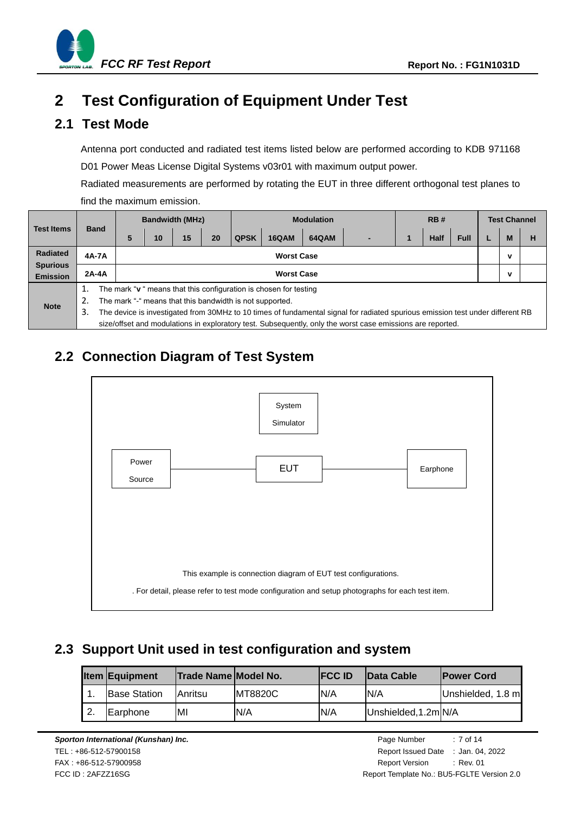

# <span id="page-6-0"></span>**2 Test Configuration of Equipment Under Test**

### <span id="page-6-1"></span>**2.1 Test Mode**

Antenna port conducted and radiated test items listed below are performed according to KDB 971168 D01 Power Meas License Digital Systems v03r01 with maximum output power.

Radiated measurements are performed by rotating the EUT in three different orthogonal test planes to find the maximum emission.

|                                    | <b>Band</b>                                                      |                                                          | <b>Bandwidth (MHz)</b> |    | <b>Modulation</b> |    |             | <b>RB#</b>   |              |                                                                                                                                | <b>Test Channel</b> |             |             |  |   |   |
|------------------------------------|------------------------------------------------------------------|----------------------------------------------------------|------------------------|----|-------------------|----|-------------|--------------|--------------|--------------------------------------------------------------------------------------------------------------------------------|---------------------|-------------|-------------|--|---|---|
| <b>Test Items</b>                  |                                                                  |                                                          | 5                      | 10 | 15                | 20 | <b>QPSK</b> | <b>16QAM</b> | <b>64QAM</b> |                                                                                                                                |                     | <b>Half</b> | <b>Full</b> |  | M | н |
| <b>Radiated</b>                    |                                                                  | 4A-7A                                                    | <b>Worst Case</b>      |    |                   |    |             |              |              |                                                                                                                                | ν                   |             |             |  |   |   |
| <b>Spurious</b><br><b>Emission</b> | $2A-4A$<br><b>Worst Case</b>                                     |                                                          |                        |    |                   |    |             |              |              | ν                                                                                                                              |                     |             |             |  |   |   |
|                                    | The mark "v" means that this configuration is chosen for testing |                                                          |                        |    |                   |    |             |              |              |                                                                                                                                |                     |             |             |  |   |   |
| <b>Note</b>                        | 2.                                                               | The mark "-" means that this bandwidth is not supported. |                        |    |                   |    |             |              |              |                                                                                                                                |                     |             |             |  |   |   |
|                                    | 3.                                                               |                                                          |                        |    |                   |    |             |              |              | The device is investigated from 30MHz to 10 times of fundamental signal for radiated spurious emission test under different RB |                     |             |             |  |   |   |
|                                    |                                                                  |                                                          |                        |    |                   |    |             |              |              | size/offset and modulations in exploratory test. Subsequently, only the worst case emissions are reported.                     |                     |             |             |  |   |   |

# <span id="page-6-2"></span>**2.2 Connection Diagram of Test System**



# <span id="page-6-3"></span>**2.3 Support Unit used in test configuration and system**

|        | <b>Item Equipment</b> | Trade Name Model No. |                 | <b>IFCC ID</b> | <b>Data Cable</b>    | <b>Power Cord</b> |
|--------|-----------------------|----------------------|-----------------|----------------|----------------------|-------------------|
|        | <b>Base Station</b>   | Anritsu              | <b>IMT8820C</b> | IN/A           | N/A                  | Unshielded, 1.8 m |
| $\sim$ | <b>Earphone</b>       | MI                   | IN/A            | N/A            | Unshielded, 1.2m N/A |                   |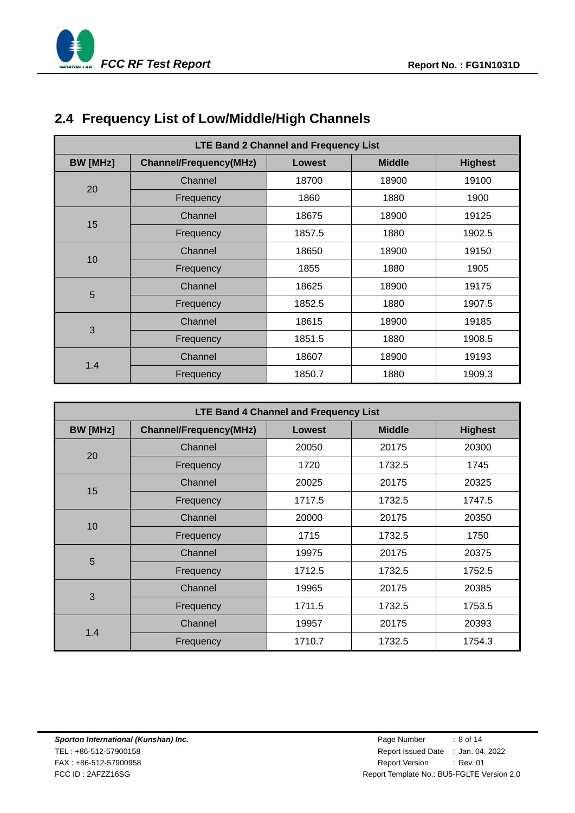

# <span id="page-7-0"></span>**2.4 Frequency List of Low/Middle/High Channels**

| LTE Band 2 Channel and Frequency List |                               |        |               |                |  |  |  |  |  |
|---------------------------------------|-------------------------------|--------|---------------|----------------|--|--|--|--|--|
| <b>BW</b> [MHz]                       | <b>Channel/Frequency(MHz)</b> | Lowest | <b>Middle</b> | <b>Highest</b> |  |  |  |  |  |
|                                       | Channel                       | 18700  | 18900         | 19100          |  |  |  |  |  |
| 20                                    | Frequency                     | 1860   | 1880          | 1900           |  |  |  |  |  |
|                                       | Channel                       | 18675  | 18900         | 19125          |  |  |  |  |  |
| 15                                    | Frequency                     | 1857.5 | 1880          | 1902.5         |  |  |  |  |  |
|                                       | Channel                       | 18650  | 18900         | 19150          |  |  |  |  |  |
| 10                                    | Frequency                     | 1855   | 1880          | 1905           |  |  |  |  |  |
| 5                                     | Channel                       | 18625  | 18900         | 19175          |  |  |  |  |  |
|                                       | Frequency                     | 1852.5 | 1880          | 1907.5         |  |  |  |  |  |
|                                       | Channel                       | 18615  | 18900         | 19185          |  |  |  |  |  |
| 3                                     | Frequency                     | 1851.5 | 1880          | 1908.5         |  |  |  |  |  |
|                                       | Channel                       | 18607  | 18900         | 19193          |  |  |  |  |  |
| 1.4                                   | Frequency                     | 1850.7 | 1880          | 1909.3         |  |  |  |  |  |

| <b>LTE Band 4 Channel and Frequency List</b> |                               |               |               |                |  |  |  |  |  |
|----------------------------------------------|-------------------------------|---------------|---------------|----------------|--|--|--|--|--|
| <b>BW</b> [MHz]                              | <b>Channel/Frequency(MHz)</b> | <b>Lowest</b> | <b>Middle</b> | <b>Highest</b> |  |  |  |  |  |
|                                              | Channel                       | 20050         | 20175         | 20300          |  |  |  |  |  |
| 20                                           | Frequency                     | 1720          | 1732.5        | 1745           |  |  |  |  |  |
| 15                                           | Channel                       | 20025         | 20175         | 20325          |  |  |  |  |  |
|                                              | Frequency                     | 1717.5        | 1732.5        | 1747.5         |  |  |  |  |  |
| 10                                           | Channel                       | 20000         | 20175         | 20350          |  |  |  |  |  |
|                                              | Frequency                     | 1715          | 1732.5        | 1750           |  |  |  |  |  |
| 5                                            | Channel                       | 19975         | 20175         | 20375          |  |  |  |  |  |
|                                              | Frequency                     | 1712.5        | 1732.5        | 1752.5         |  |  |  |  |  |
| 3                                            | Channel                       | 19965         | 20175         | 20385          |  |  |  |  |  |
|                                              | Frequency                     | 1711.5        | 1732.5        | 1753.5         |  |  |  |  |  |
| 1.4                                          | Channel                       | 19957         | 20175         | 20393          |  |  |  |  |  |
|                                              | Frequency                     | 1710.7        | 1732.5        | 1754.3         |  |  |  |  |  |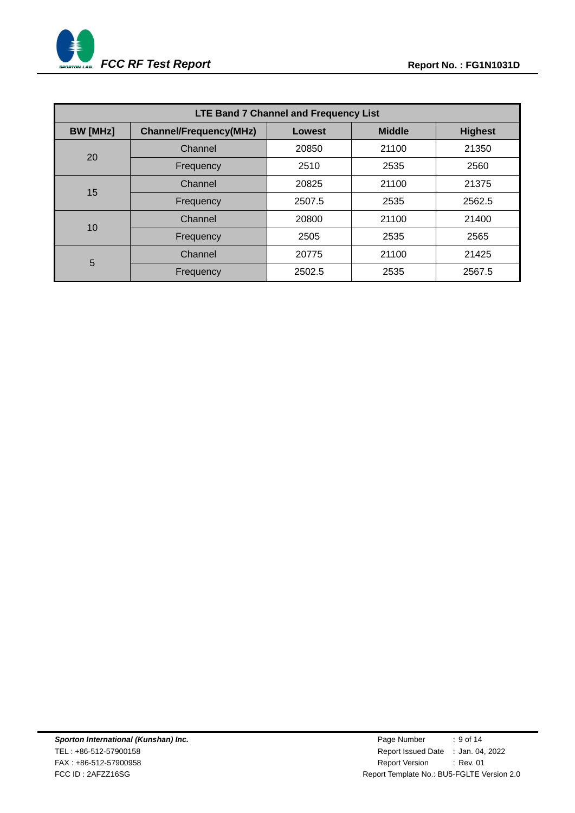

| <b>LTE Band 7 Channel and Frequency List</b> |                               |               |               |        |  |  |  |  |  |
|----------------------------------------------|-------------------------------|---------------|---------------|--------|--|--|--|--|--|
| <b>BW</b> [MHz]                              | <b>Channel/Frequency(MHz)</b> | <b>Lowest</b> | <b>Middle</b> |        |  |  |  |  |  |
| 20                                           | Channel                       | 20850         | 21100         | 21350  |  |  |  |  |  |
|                                              | Frequency                     | 2510          | 2535          | 2560   |  |  |  |  |  |
| 15                                           | Channel                       | 20825         | 21100         | 21375  |  |  |  |  |  |
|                                              | Frequency                     | 2507.5        | 2535          | 2562.5 |  |  |  |  |  |
| 10                                           | Channel                       | 20800         | 21100         | 21400  |  |  |  |  |  |
|                                              | Frequency                     | 2505          | 2535          | 2565   |  |  |  |  |  |
| 5                                            | Channel                       | 20775         | 21100         | 21425  |  |  |  |  |  |
|                                              | Frequency                     | 2502.5        | 2535          | 2567.5 |  |  |  |  |  |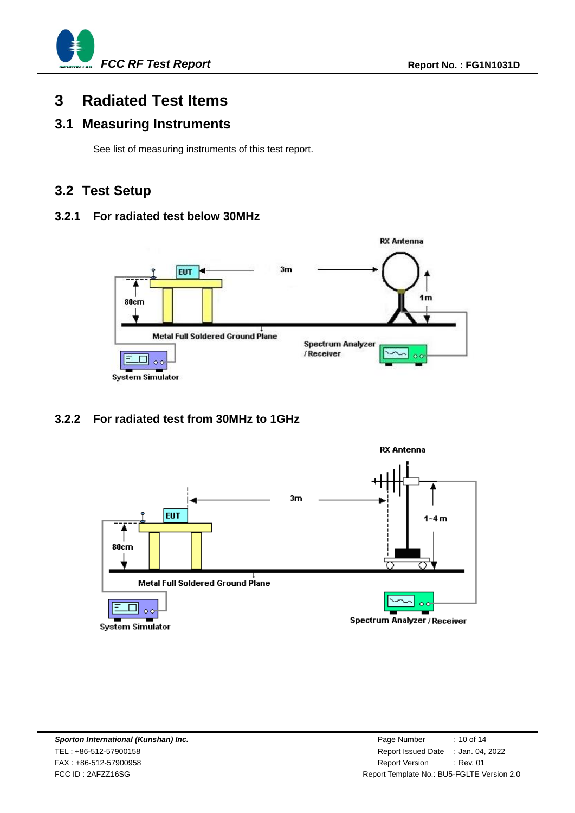

# <span id="page-9-0"></span>**3 Radiated Test Items**

### <span id="page-9-1"></span>**3.1 Measuring Instruments**

See list of measuring instruments of this test report.

### <span id="page-9-2"></span>**3.2 Test Setup**

#### **3.2.1 For radiated test below 30MHz**



### **3.2.2 For radiated test from 30MHz to 1GHz**

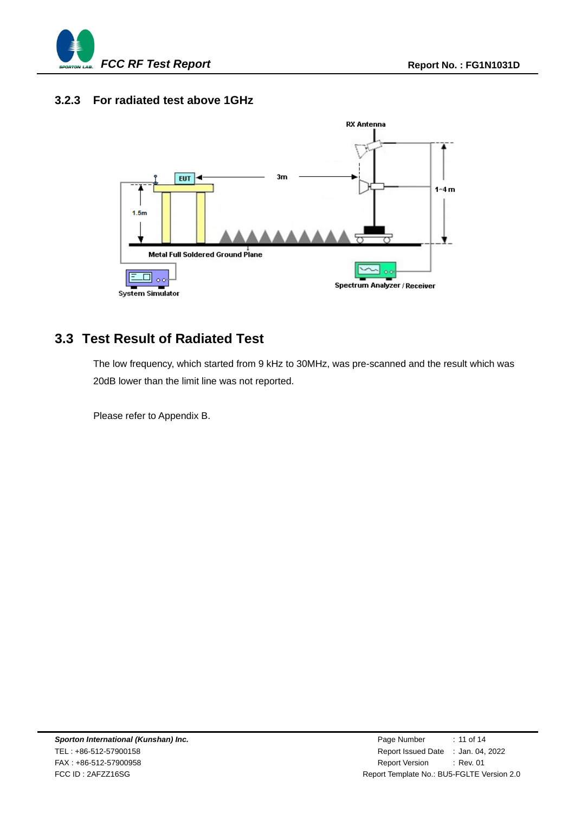

#### **3.2.3 For radiated test above 1GHz**



### <span id="page-10-0"></span>**3.3 Test Result of Radiated Test**

The low frequency, which started from 9 kHz to 30MHz, was pre-scanned and the result which was 20dB lower than the limit line was not reported.

Please refer to Appendix B.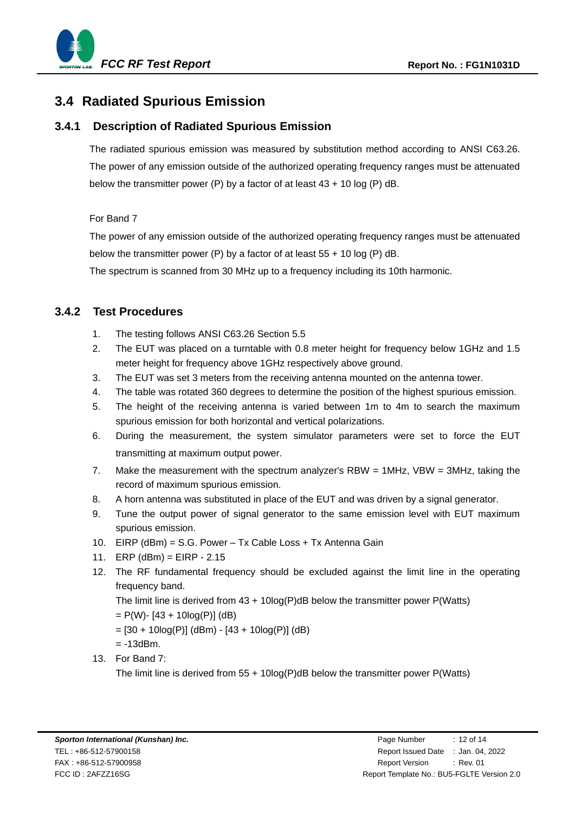

### <span id="page-11-0"></span>**3.4 Radiated Spurious Emission**

#### **3.4.1 Description of Radiated Spurious Emission**

The radiated spurious emission was measured by substitution method according to ANSI C63.26. The power of any emission outside of the authorized operating frequency ranges must be attenuated below the transmitter power (P) by a factor of at least 43 + 10 log (P) dB.

#### For Band 7

The power of any emission outside of the authorized operating frequency ranges must be attenuated below the transmitter power (P) by a factor of at least  $55 + 10$  log (P) dB.

The spectrum is scanned from 30 MHz up to a frequency including its 10th harmonic.

#### **3.4.2 Test Procedures**

- 1. The testing follows ANSI C63.26 Section 5.5
- 2. The EUT was placed on a turntable with 0.8 meter height for frequency below 1GHz and 1.5 meter height for frequency above 1GHz respectively above ground.
- 3. The EUT was set 3 meters from the receiving antenna mounted on the antenna tower.
- 4. The table was rotated 360 degrees to determine the position of the highest spurious emission.
- 5. The height of the receiving antenna is varied between 1m to 4m to search the maximum spurious emission for both horizontal and vertical polarizations.
- 6. During the measurement, the system simulator parameters were set to force the EUT transmitting at maximum output power.
- 7. Make the measurement with the spectrum analyzer's RBW = 1MHz, VBW = 3MHz, taking the record of maximum spurious emission.
- 8. A horn antenna was substituted in place of the EUT and was driven by a signal generator.
- 9. Tune the output power of signal generator to the same emission level with EUT maximum spurious emission.
- 10. EIRP (dBm) = S.G. Power Tx Cable Loss + Tx Antenna Gain
- 11. ERP (dBm) = EIRP 2.15
- 12. The RF fundamental frequency should be excluded against the limit line in the operating frequency band.

The limit line is derived from  $43 + 10\log(P)$ dB below the transmitter power P(Watts)

 $= P(W) - [43 + 10log(P)]$  (dB)

 $=[30 + 10\log(P)]$  (dBm) - [43 + 10log(P)] (dB)

- $= -13$ d $Bm$ .
- 13. For Band 7:

The limit line is derived from  $55 + 10\log(P)dB$  below the transmitter power P(Watts)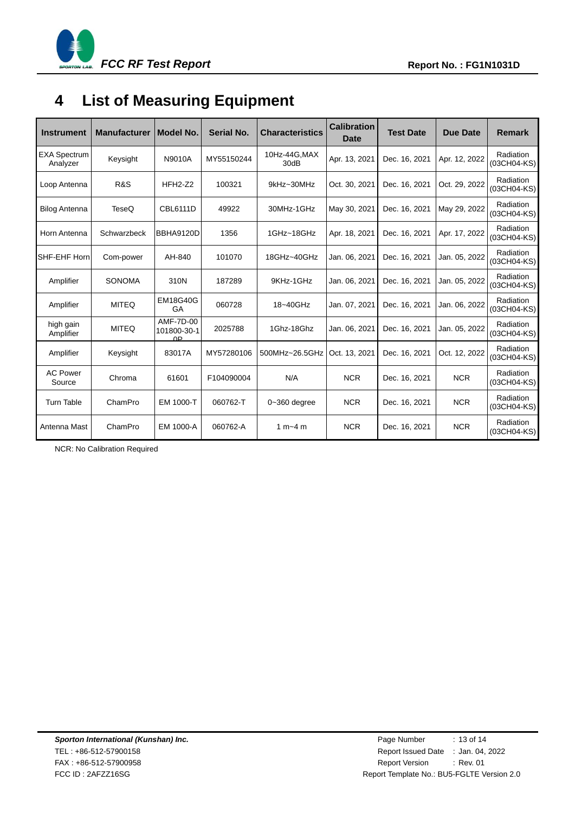

# <span id="page-12-0"></span>**4 List of Measuring Equipment**

| <b>Instrument</b>               | <b>Manufacturer</b> | Model No.                                  | Serial No. | <b>Characteristics</b> | <b>Calibration</b><br>Date | <b>Test Date</b> | <b>Due Date</b> | <b>Remark</b>            |
|---------------------------------|---------------------|--------------------------------------------|------------|------------------------|----------------------------|------------------|-----------------|--------------------------|
| <b>EXA Spectrum</b><br>Analyzer | Keysight            | N9010A                                     | MY55150244 | 10Hz-44G, MAX<br>30dB  | Apr. 13, 2021              | Dec. 16, 2021    | Apr. 12, 2022   | Radiation<br>(03CH04-KS) |
| Loop Antenna                    | <b>R&amp;S</b>      | $HFH2-Z2$                                  | 100321     | 9kHz~30MHz             | Oct. 30, 2021              | Dec. 16, 2021    | Oct. 29, 2022   | Radiation<br>(03CH04-KS) |
| <b>Bilog Antenna</b>            | TeseQ               | <b>CBL6111D</b>                            | 49922      | 30MHz-1GHz             | May 30, 2021               | Dec. 16, 2021    | May 29, 2022    | Radiation<br>(03CH04-KS) |
| Horn Antenna                    | Schwarzbeck         | BBHA9120D                                  | 1356       | 1GHz~18GHz             | Apr. 18, 2021              | Dec. 16, 2021    | Apr. 17, 2022   | Radiation<br>(03CH04-KS) |
| SHF-EHF Horn                    | Com-power           | AH-840                                     | 101070     | 18GHz~40GHz            | Jan. 06, 2021              | Dec. 16, 2021    | Jan. 05, 2022   | Radiation<br>(03CH04-KS) |
| Amplifier                       | <b>SONOMA</b>       | 310N                                       | 187289     | 9KHz-1GHz              | Jan. 06, 2021              | Dec. 16, 2021    | Jan. 05, 2022   | Radiation<br>(03CH04-KS) |
| Amplifier                       | <b>MITEQ</b>        | <b>EM18G40G</b><br>GA                      | 060728     | 18~40GHz               | Jan. 07, 2021              | Dec. 16, 2021    | Jan. 06, 2022   | Radiation<br>(03CH04-KS) |
| high gain<br>Amplifier          | <b>MITEQ</b>        | AMF-7D-00<br>101800-30-1<br>0 <sub>P</sub> | 2025788    | 1Ghz-18Ghz             | Jan. 06, 2021              | Dec. 16, 2021    | Jan. 05, 2022   | Radiation<br>(03CH04-KS) |
| Amplifier                       | Keysight            | 83017A                                     | MY57280106 | 500MHz~26.5GHz         | Oct. 13, 2021              | Dec. 16, 2021    | Oct. 12, 2022   | Radiation<br>(03CH04-KS) |
| <b>AC Power</b><br>Source       | Chroma              | 61601                                      | F104090004 | N/A                    | <b>NCR</b>                 | Dec. 16, 2021    | <b>NCR</b>      | Radiation<br>(03CH04-KS) |
| <b>Turn Table</b>               | ChamPro             | EM 1000-T                                  | 060762-T   | $0 - 360$ degree       | <b>NCR</b>                 | Dec. 16, 2021    | <b>NCR</b>      | Radiation<br>(03CH04-KS) |
| Antenna Mast                    | ChamPro             | EM 1000-A                                  | 060762-A   | 1 m $-4$ m             | <b>NCR</b>                 | Dec. 16, 2021    | <b>NCR</b>      | Radiation<br>(03CH04-KS) |

NCR: No Calibration Required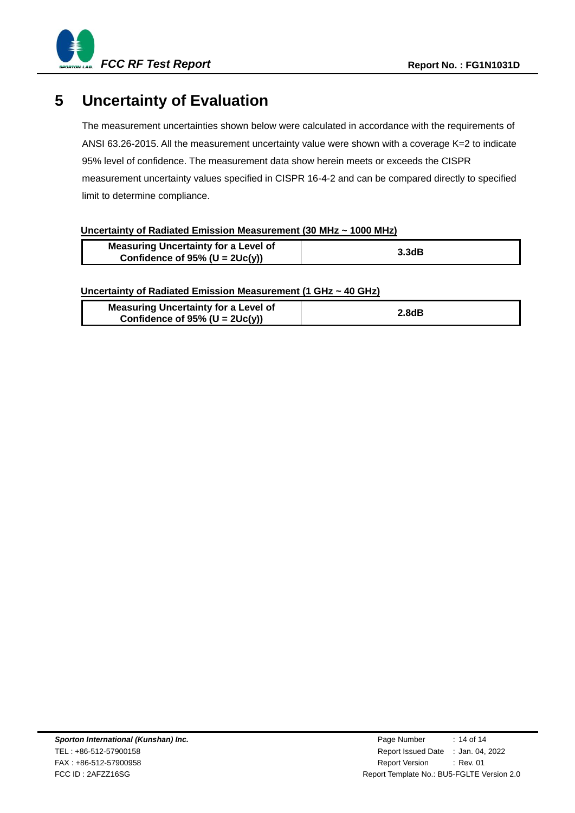

# <span id="page-13-0"></span>**5 Uncertainty of Evaluation**

The measurement uncertainties shown below were calculated in accordance with the requirements of ANSI 63.26-2015. All the measurement uncertainty value were shown with a coverage K=2 to indicate 95% level of confidence. The measurement data show herein meets or exceeds the CISPR measurement uncertainty values specified in CISPR 16-4-2 and can be compared directly to specified limit to determine compliance.

#### **Uncertainty of Radiated Emission Measurement (30 MHz ~ 1000 MHz)**

| <b>Measuring Uncertainty for a Level of</b> | 3.3dB |
|---------------------------------------------|-------|
| Confidence of $95\%$ (U = $2Uc(y)$ )        |       |

#### **Uncertainty of Radiated Emission Measurement (1 GHz ~ 40 GHz)**

| <b>Measuring Uncertainty for a Level of</b><br>Confidence of $95\%$ (U = $2Uc(y)$ ) | 2.8dB |
|-------------------------------------------------------------------------------------|-------|
|                                                                                     |       |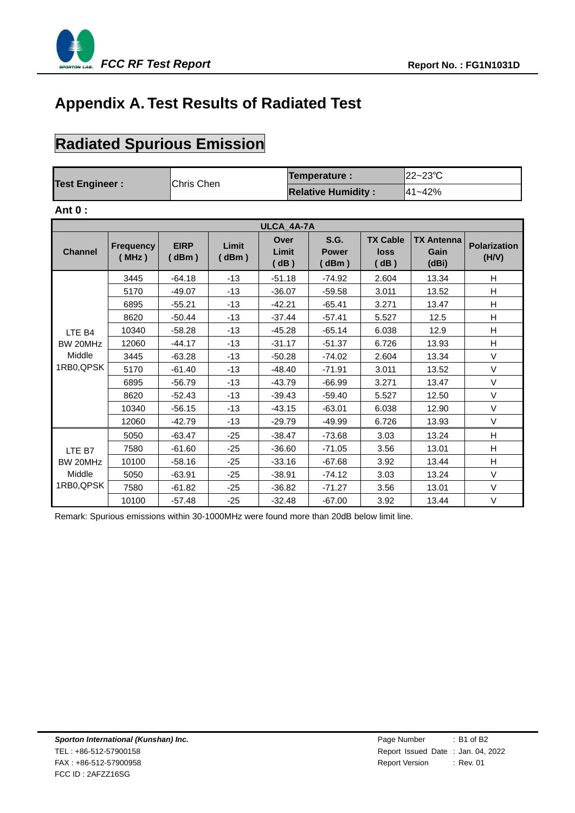

# **Appendix A. Test Results of Radiated Test**

# **Radiated Spurious Emission**

|                       |                   | <b>Temperature:</b>       | $ 22 - 23^{\circ}$ C |
|-----------------------|-------------------|---------------------------|----------------------|
| <b>Test Engineer:</b> | <b>Chris Chen</b> | <b>Relative Humidity:</b> | l41~42%              |

#### **Ant 0 :**

| ULCA 4A-7A     |                           |                     |               |                       |                              |                                 |                                    |                              |  |
|----------------|---------------------------|---------------------|---------------|-----------------------|------------------------------|---------------------------------|------------------------------------|------------------------------|--|
| <b>Channel</b> | <b>Frequency</b><br>(MHz) | <b>EIRP</b><br>dBm) | Limit<br>dBm) | Over<br>Limit<br>(dB) | S.G.<br><b>Power</b><br>dBm) | <b>TX Cable</b><br>loss<br>(dB) | <b>TX Antenna</b><br>Gain<br>(dBi) | <b>Polarization</b><br>(H/V) |  |
|                | 3445                      | $-64.18$            | $-13$         | $-51.18$              | $-74.92$                     | 2.604                           | 13.34                              | H                            |  |
|                | 5170                      | $-49.07$            | $-13$         | $-36.07$              | $-59.58$                     | 3.011                           | 13.52                              | H                            |  |
|                | 6895                      | $-55.21$            | $-13$         | $-42.21$              | $-65.41$                     | 3.271                           | 13.47                              | H                            |  |
|                | 8620                      | $-50.44$            | $-13$         | $-37.44$              | $-57.41$                     | 5.527                           | 12.5                               | H                            |  |
| LTE B4         | 10340                     | $-58.28$            | $-13$         | $-45.28$              | $-65.14$                     | 6.038                           | 12.9                               | H                            |  |
| BW 20MHz       | 12060                     | $-44.17$            | $-13$         | $-31.17$              | $-51.37$                     | 6.726                           | 13.93                              | H                            |  |
| Middle         | 3445                      | $-63.28$            | $-13$         | $-50.28$              | $-74.02$                     | 2.604                           | 13.34                              | $\vee$                       |  |
| 1RB0,QPSK      | 5170                      | $-61.40$            | $-13$         | $-48.40$              | $-71.91$                     | 3.011                           | 13.52                              | $\vee$                       |  |
|                | 6895                      | $-56.79$            | $-13$         | $-43.79$              | $-66.99$                     | 3.271                           | 13.47                              | $\vee$                       |  |
|                | 8620                      | $-52.43$            | $-13$         | $-39.43$              | $-59.40$                     | 5.527                           | 12.50                              | $\vee$                       |  |
|                | 10340                     | $-56.15$            | $-13$         | $-43.15$              | $-63.01$                     | 6.038                           | 12.90                              | $\vee$                       |  |
|                | 12060                     | $-42.79$            | $-13$         | $-29.79$              | $-49.99$                     | 6.726                           | 13.93                              | $\vee$                       |  |
|                | 5050                      | $-63.47$            | $-25$         | $-38.47$              | $-73.68$                     | 3.03                            | 13.24                              | H                            |  |
| LTE B7         | 7580                      | $-61.60$            | $-25$         | $-36.60$              | $-71.05$                     | 3.56                            | 13.01                              | H                            |  |
| BW 20MHz       | 10100                     | $-58.16$            | $-25$         | $-33.16$              | $-67.68$                     | 3.92                            | 13.44                              | H                            |  |
| Middle         | 5050                      | $-63.91$            | $-25$         | $-38.91$              | $-74.12$                     | 3.03                            | 13.24                              | $\vee$                       |  |
| 1RB0, QPSK     | 7580                      | $-61.82$            | $-25$         | $-36.82$              | $-71.27$                     | 3.56                            | 13.01                              | $\vee$                       |  |
|                | 10100                     | $-57.48$            | $-25$         | $-32.48$              | $-67.00$                     | 3.92                            | 13.44                              | $\vee$                       |  |

Remark: Spurious emissions within 30-1000MHz were found more than 20dB below limit line.